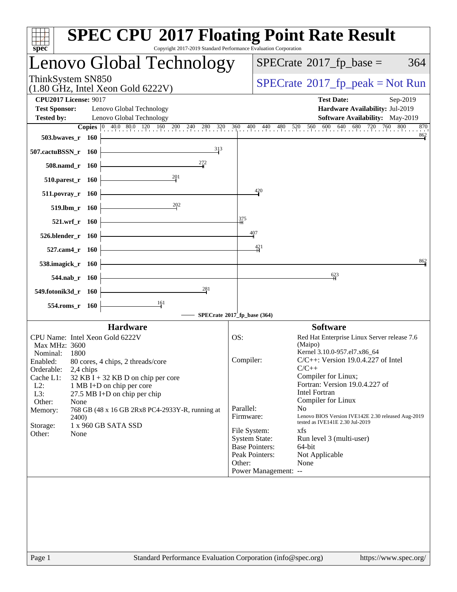| $spec^*$                                                                                                                                                                |                                    | <b>SPEC CPU®2017 Floating Point Rate Result</b><br>Copyright 2017-2019 Standard Performance Evaluation Corporation                                                                                               |     |                                                                                                                                                          |                                                                                                                                                                                                                                                                                                                                                                                                                                     |
|-------------------------------------------------------------------------------------------------------------------------------------------------------------------------|------------------------------------|------------------------------------------------------------------------------------------------------------------------------------------------------------------------------------------------------------------|-----|----------------------------------------------------------------------------------------------------------------------------------------------------------|-------------------------------------------------------------------------------------------------------------------------------------------------------------------------------------------------------------------------------------------------------------------------------------------------------------------------------------------------------------------------------------------------------------------------------------|
|                                                                                                                                                                         |                                    | Lenovo Global Technology                                                                                                                                                                                         |     |                                                                                                                                                          | $SPECrate^{\circledast}2017$ _fp_base =<br>364                                                                                                                                                                                                                                                                                                                                                                                      |
| ThinkSystem SN850                                                                                                                                                       |                                    | $(1.80 \text{ GHz}, \text{Intel Xeon Gold } 6222 \text{V})$                                                                                                                                                      |     |                                                                                                                                                          | $SPECTate@2017fr peak = Not Run$                                                                                                                                                                                                                                                                                                                                                                                                    |
| <b>CPU2017 License: 9017</b><br><b>Test Sponsor:</b><br><b>Tested by:</b>                                                                                               |                                    | Lenovo Global Technology<br>Lenovo Global Technology                                                                                                                                                             |     |                                                                                                                                                          | <b>Test Date:</b><br>Sep-2019<br>Hardware Availability: Jul-2019<br>Software Availability: May-2019                                                                                                                                                                                                                                                                                                                                 |
| 503.bwaves_r 160                                                                                                                                                        |                                    | <b>Copies</b> $\begin{bmatrix} 0 & 40.0 & 80.0 & 120 & 160 & 200 & 240 & 280 & 320 & 360 & 400 & 440 & 480 & 520 & 560 & 600 & 640 & 680 & 720 & 760 \end{bmatrix}$                                              |     |                                                                                                                                                          | 760<br>- 800<br>870<br>$\frac{862}{9}$                                                                                                                                                                                                                                                                                                                                                                                              |
| 507.cactuBSSN_r 160                                                                                                                                                     |                                    | 313                                                                                                                                                                                                              |     |                                                                                                                                                          |                                                                                                                                                                                                                                                                                                                                                                                                                                     |
| 508.namd r 160                                                                                                                                                          |                                    | 272                                                                                                                                                                                                              |     |                                                                                                                                                          |                                                                                                                                                                                                                                                                                                                                                                                                                                     |
| 510.parest_r 160                                                                                                                                                        |                                    | 201                                                                                                                                                                                                              |     |                                                                                                                                                          |                                                                                                                                                                                                                                                                                                                                                                                                                                     |
| 511.povray_r 160                                                                                                                                                        |                                    | 202                                                                                                                                                                                                              |     | 420                                                                                                                                                      |                                                                                                                                                                                                                                                                                                                                                                                                                                     |
| $519.$ lbm $r$ 160<br>521.wrf_r 160                                                                                                                                     |                                    |                                                                                                                                                                                                                  |     | 375                                                                                                                                                      |                                                                                                                                                                                                                                                                                                                                                                                                                                     |
| 526.blender_r 160                                                                                                                                                       |                                    |                                                                                                                                                                                                                  |     | 407                                                                                                                                                      |                                                                                                                                                                                                                                                                                                                                                                                                                                     |
| 527.cam4_r 160                                                                                                                                                          |                                    |                                                                                                                                                                                                                  |     | 421                                                                                                                                                      |                                                                                                                                                                                                                                                                                                                                                                                                                                     |
| 538.imagick_r                                                                                                                                                           | - 160                              |                                                                                                                                                                                                                  |     |                                                                                                                                                          | 862                                                                                                                                                                                                                                                                                                                                                                                                                                 |
| 544.nab_r 160                                                                                                                                                           |                                    |                                                                                                                                                                                                                  |     |                                                                                                                                                          | 623                                                                                                                                                                                                                                                                                                                                                                                                                                 |
| 549.fotonik3d_r 160                                                                                                                                                     |                                    | 281                                                                                                                                                                                                              |     |                                                                                                                                                          |                                                                                                                                                                                                                                                                                                                                                                                                                                     |
| 554.roms_r 160                                                                                                                                                          |                                    | $\frac{161}{1}$                                                                                                                                                                                                  |     | SPECrate®2017_fp_base (364)                                                                                                                              |                                                                                                                                                                                                                                                                                                                                                                                                                                     |
|                                                                                                                                                                         |                                    | <b>Hardware</b>                                                                                                                                                                                                  |     |                                                                                                                                                          | <b>Software</b>                                                                                                                                                                                                                                                                                                                                                                                                                     |
| CPU Name: Intel Xeon Gold 6222V<br>Max MHz: 3600<br>Nominal:<br>1800<br>Enabled:<br>Orderable:<br>Cache L1:<br>$L2$ :<br>L3:<br>Other:<br>Memory:<br>Storage:<br>Other: | 2,4 chips<br>None<br>2400)<br>None | 80 cores, 4 chips, 2 threads/core<br>$32$ KB I + 32 KB D on chip per core<br>1 MB I+D on chip per core<br>27.5 MB I+D on chip per chip<br>768 GB (48 x 16 GB 2Rx8 PC4-2933Y-R, running at<br>1 x 960 GB SATA SSD | OS: | Compiler:<br>Parallel:<br>Firmware:<br>File System:<br><b>System State:</b><br><b>Base Pointers:</b><br>Peak Pointers:<br>Other:<br>Power Management: -- | Red Hat Enterprise Linux Server release 7.6<br>(Maipo)<br>Kernel 3.10.0-957.el7.x86_64<br>$C/C++$ : Version 19.0.4.227 of Intel<br>$C/C++$<br>Compiler for Linux;<br>Fortran: Version 19.0.4.227 of<br><b>Intel Fortran</b><br>Compiler for Linux<br>N <sub>o</sub><br>Lenovo BIOS Version IVE142E 2.30 released Aug-2019<br>tested as IVE141E 2.30 Jul-2019<br>xfs<br>Run level 3 (multi-user)<br>64-bit<br>Not Applicable<br>None |
| Page 1                                                                                                                                                                  |                                    | Standard Performance Evaluation Corporation (info@spec.org)                                                                                                                                                      |     |                                                                                                                                                          | https://www.spec.org/                                                                                                                                                                                                                                                                                                                                                                                                               |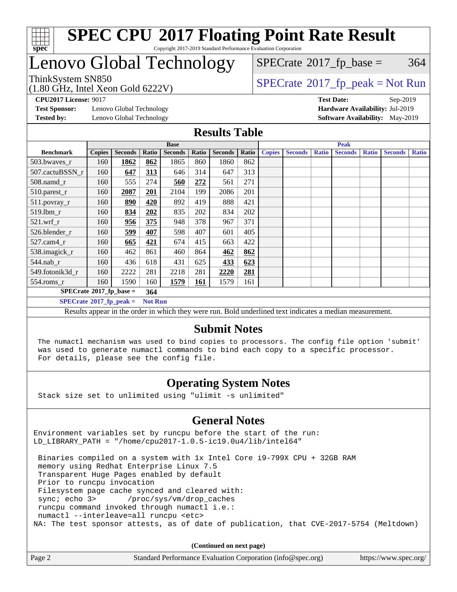

## Lenovo Global Technology

 $SPECTate$ <sup>®</sup>[2017\\_fp\\_base =](http://www.spec.org/auto/cpu2017/Docs/result-fields.html#SPECrate2017fpbase) 364

#### (1.80 GHz, Intel Xeon Gold 6222V) ThinkSystem SN850<br>(1.80 GHz, Intel Year Gald 6222V) [SPECrate](http://www.spec.org/auto/cpu2017/Docs/result-fields.html#SPECrate2017fppeak)®[2017\\_fp\\_peak = N](http://www.spec.org/auto/cpu2017/Docs/result-fields.html#SPECrate2017fppeak)ot Run

**[Test Sponsor:](http://www.spec.org/auto/cpu2017/Docs/result-fields.html#TestSponsor)** Lenovo Global Technology **[Hardware Availability:](http://www.spec.org/auto/cpu2017/Docs/result-fields.html#HardwareAvailability)** Jul-2019

**[CPU2017 License:](http://www.spec.org/auto/cpu2017/Docs/result-fields.html#CPU2017License)** 9017 **[Test Date:](http://www.spec.org/auto/cpu2017/Docs/result-fields.html#TestDate)** Sep-2019

**[Tested by:](http://www.spec.org/auto/cpu2017/Docs/result-fields.html#Testedby)** Lenovo Global Technology **[Software Availability:](http://www.spec.org/auto/cpu2017/Docs/result-fields.html#SoftwareAvailability)** May-2019

#### **[Results Table](http://www.spec.org/auto/cpu2017/Docs/result-fields.html#ResultsTable)**

|                                   |                |                |       | <b>Base</b>    |       |                | <b>Peak</b> |               |                |              |                |              |                |              |
|-----------------------------------|----------------|----------------|-------|----------------|-------|----------------|-------------|---------------|----------------|--------------|----------------|--------------|----------------|--------------|
| <b>Benchmark</b>                  | <b>Copies</b>  | <b>Seconds</b> | Ratio | <b>Seconds</b> | Ratio | <b>Seconds</b> | Ratio       | <b>Copies</b> | <b>Seconds</b> | <b>Ratio</b> | <b>Seconds</b> | <b>Ratio</b> | <b>Seconds</b> | <b>Ratio</b> |
| 503.bwayes r                      | 160            | 1862           | 862   | 1865           | 860   | 1860           | 862         |               |                |              |                |              |                |              |
| 507.cactuBSSN r                   | 160            | 647            | 313   | 646            | 314   | 647            | 313         |               |                |              |                |              |                |              |
| $508$ .namd $r$                   | 160            | 555            | 274   | 560            | 272   | 561            | 271         |               |                |              |                |              |                |              |
| 510.parest_r                      | 160            | 2087           | 201   | 2104           | 199   | 2086           | 201         |               |                |              |                |              |                |              |
| 511.povray_r                      | 160            | 890            | 420   | 892            | 419   | 888            | 421         |               |                |              |                |              |                |              |
| 519.1bm r                         | 160            | 834            | 202   | 835            | 202   | 834            | 202         |               |                |              |                |              |                |              |
| $521$ .wrf r                      | 160            | 956            | 375   | 948            | 378   | 967            | 371         |               |                |              |                |              |                |              |
| 526.blender r                     | 160            | 599            | 407   | 598            | 407   | 601            | 405         |               |                |              |                |              |                |              |
| $527$ .cam $4r$                   | 160            | 665            | 421   | 674            | 415   | 663            | 422         |               |                |              |                |              |                |              |
| 538.imagick_r                     | 160            | 462            | 861   | 460            | 864   | 462            | 862         |               |                |              |                |              |                |              |
| 544.nab r                         | 160            | 436            | 618   | 431            | 625   | 433            | 623         |               |                |              |                |              |                |              |
| 549.fotonik3d r                   | 160            | 2222           | 281   | 2218           | 281   | 2220           | 281         |               |                |              |                |              |                |              |
| $554$ .roms_r                     | 160            | 1590           | 160   | 1579           | 161   | 1579           | 161         |               |                |              |                |              |                |              |
| $SPECrate^{\circ}2017$ _fp_base = |                | 364            |       |                |       |                |             |               |                |              |                |              |                |              |
| $SPECrate^{\circ}2017$ fp peak =  | <b>Not Run</b> |                |       |                |       |                |             |               |                |              |                |              |                |              |

Results appear in the [order in which they were run](http://www.spec.org/auto/cpu2017/Docs/result-fields.html#RunOrder). Bold underlined text [indicates a median measurement](http://www.spec.org/auto/cpu2017/Docs/result-fields.html#Median).

#### **[Submit Notes](http://www.spec.org/auto/cpu2017/Docs/result-fields.html#SubmitNotes)**

 The numactl mechanism was used to bind copies to processors. The config file option 'submit' was used to generate numactl commands to bind each copy to a specific processor. For details, please see the config file.

#### **[Operating System Notes](http://www.spec.org/auto/cpu2017/Docs/result-fields.html#OperatingSystemNotes)**

Stack size set to unlimited using "ulimit -s unlimited"

#### **[General Notes](http://www.spec.org/auto/cpu2017/Docs/result-fields.html#GeneralNotes)**

Environment variables set by runcpu before the start of the run: LD LIBRARY PATH = "/home/cpu2017-1.0.5-ic19.0u4/lib/intel64"

 Binaries compiled on a system with 1x Intel Core i9-799X CPU + 32GB RAM memory using Redhat Enterprise Linux 7.5 Transparent Huge Pages enabled by default Prior to runcpu invocation Filesystem page cache synced and cleared with: sync; echo 3> /proc/sys/vm/drop\_caches runcpu command invoked through numactl i.e.: numactl --interleave=all runcpu <etc> NA: The test sponsor attests, as of date of publication, that CVE-2017-5754 (Meltdown)

**(Continued on next page)**

| Page 2 | Standard Performance Evaluation Corporation (info@spec.org) | https://www.spec.org/ |
|--------|-------------------------------------------------------------|-----------------------|
|--------|-------------------------------------------------------------|-----------------------|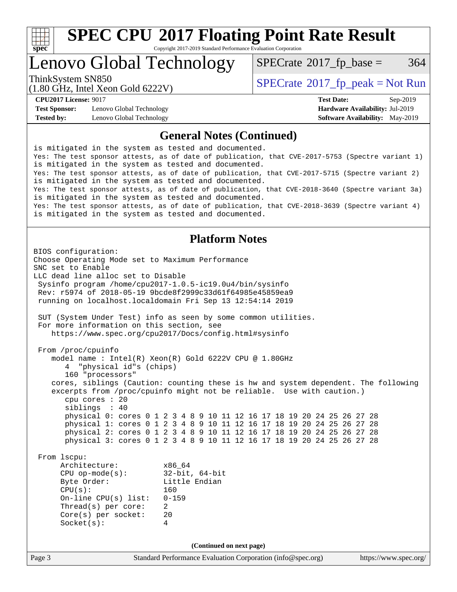

# **[SPEC CPU](http://www.spec.org/auto/cpu2017/Docs/result-fields.html#SPECCPU2017FloatingPointRateResult)[2017 Floating Point Rate Result](http://www.spec.org/auto/cpu2017/Docs/result-fields.html#SPECCPU2017FloatingPointRateResult)**

Copyright 2017-2019 Standard Performance Evaluation Corporation

## Lenovo Global Technology

 $SPECTate$ <sup>®</sup>[2017\\_fp\\_base =](http://www.spec.org/auto/cpu2017/Docs/result-fields.html#SPECrate2017fpbase) 364

(1.80 GHz, Intel Xeon Gold 6222V)

ThinkSystem SN850<br>  $\begin{array}{c}\n\text{SPECrate} \textcirc 2017 \text{ fp } peak = Not Run\n\end{array}$  $\begin{array}{c}\n\text{SPECrate} \textcirc 2017 \text{ fp } peak = Not Run\n\end{array}$  $\begin{array}{c}\n\text{SPECrate} \textcirc 2017 \text{ fp } peak = Not Run\n\end{array}$ 

**[Test Sponsor:](http://www.spec.org/auto/cpu2017/Docs/result-fields.html#TestSponsor)** Lenovo Global Technology **[Hardware Availability:](http://www.spec.org/auto/cpu2017/Docs/result-fields.html#HardwareAvailability)** Jul-2019 **[Tested by:](http://www.spec.org/auto/cpu2017/Docs/result-fields.html#Testedby)** Lenovo Global Technology **[Software Availability:](http://www.spec.org/auto/cpu2017/Docs/result-fields.html#SoftwareAvailability)** May-2019

**[CPU2017 License:](http://www.spec.org/auto/cpu2017/Docs/result-fields.html#CPU2017License)** 9017 **[Test Date:](http://www.spec.org/auto/cpu2017/Docs/result-fields.html#TestDate)** Sep-2019

#### **[General Notes \(Continued\)](http://www.spec.org/auto/cpu2017/Docs/result-fields.html#GeneralNotes)**

is mitigated in the system as tested and documented. Yes: The test sponsor attests, as of date of publication, that CVE-2017-5753 (Spectre variant 1) is mitigated in the system as tested and documented. Yes: The test sponsor attests, as of date of publication, that CVE-2017-5715 (Spectre variant 2) is mitigated in the system as tested and documented. Yes: The test sponsor attests, as of date of publication, that CVE-2018-3640 (Spectre variant 3a) is mitigated in the system as tested and documented. Yes: The test sponsor attests, as of date of publication, that CVE-2018-3639 (Spectre variant 4) is mitigated in the system as tested and documented.

#### **[Platform Notes](http://www.spec.org/auto/cpu2017/Docs/result-fields.html#PlatformNotes)**

Page 3 Standard Performance Evaluation Corporation [\(info@spec.org\)](mailto:info@spec.org) <https://www.spec.org/> BIOS configuration: Choose Operating Mode set to Maximum Performance SNC set to Enable LLC dead line alloc set to Disable Sysinfo program /home/cpu2017-1.0.5-ic19.0u4/bin/sysinfo Rev: r5974 of 2018-05-19 9bcde8f2999c33d61f64985e45859ea9 running on localhost.localdomain Fri Sep 13 12:54:14 2019 SUT (System Under Test) info as seen by some common utilities. For more information on this section, see <https://www.spec.org/cpu2017/Docs/config.html#sysinfo> From /proc/cpuinfo model name : Intel(R) Xeon(R) Gold 6222V CPU @ 1.80GHz 4 "physical id"s (chips) 160 "processors" cores, siblings (Caution: counting these is hw and system dependent. The following excerpts from /proc/cpuinfo might not be reliable. Use with caution.) cpu cores : 20 siblings : 40 physical 0: cores 0 1 2 3 4 8 9 10 11 12 16 17 18 19 20 24 25 26 27 28 physical 1: cores 0 1 2 3 4 8 9 10 11 12 16 17 18 19 20 24 25 26 27 28 physical 2: cores 0 1 2 3 4 8 9 10 11 12 16 17 18 19 20 24 25 26 27 28 physical 3: cores 0 1 2 3 4 8 9 10 11 12 16 17 18 19 20 24 25 26 27 28 From lscpu: Architecture: x86\_64 CPU op-mode(s): 32-bit, 64-bit<br>Byte Order: Little Endian Little Endian CPU(s): 160 On-line CPU(s) list: 0-159 Thread(s) per core: 2 Core(s) per socket: 20 Socket(s): 4 **(Continued on next page)**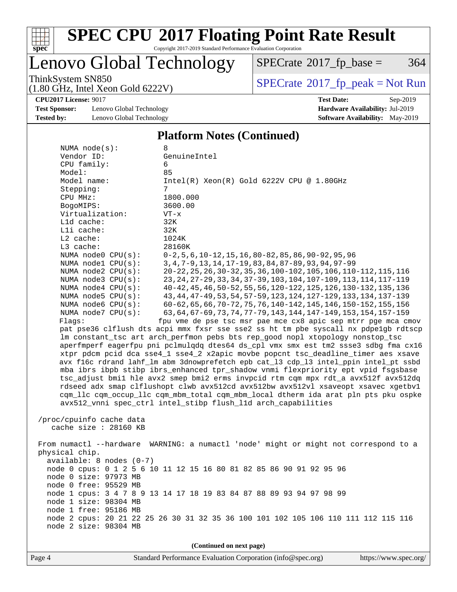

# **[SPEC CPU](http://www.spec.org/auto/cpu2017/Docs/result-fields.html#SPECCPU2017FloatingPointRateResult)[2017 Floating Point Rate Result](http://www.spec.org/auto/cpu2017/Docs/result-fields.html#SPECCPU2017FloatingPointRateResult)**

Copyright 2017-2019 Standard Performance Evaluation Corporation

Lenovo Global Technology

 $SPECTate@2017_fp\_base = 364$ 

(1.80 GHz, Intel Xeon Gold 6222V)

ThinkSystem SN850<br>(1.80 GHz, Intel Xeon Gold 6222V) [SPECrate](http://www.spec.org/auto/cpu2017/Docs/result-fields.html#SPECrate2017fppeak)®[2017\\_fp\\_peak = N](http://www.spec.org/auto/cpu2017/Docs/result-fields.html#SPECrate2017fppeak)ot Run

**[CPU2017 License:](http://www.spec.org/auto/cpu2017/Docs/result-fields.html#CPU2017License)** 9017 **[Test Date:](http://www.spec.org/auto/cpu2017/Docs/result-fields.html#TestDate)** Sep-2019

**[Test Sponsor:](http://www.spec.org/auto/cpu2017/Docs/result-fields.html#TestSponsor)** Lenovo Global Technology **[Hardware Availability:](http://www.spec.org/auto/cpu2017/Docs/result-fields.html#HardwareAvailability)** Jul-2019 **[Tested by:](http://www.spec.org/auto/cpu2017/Docs/result-fields.html#Testedby)** Lenovo Global Technology **[Software Availability:](http://www.spec.org/auto/cpu2017/Docs/result-fields.html#SoftwareAvailability)** May-2019

#### **[Platform Notes \(Continued\)](http://www.spec.org/auto/cpu2017/Docs/result-fields.html#PlatformNotes)**

| NUMA $node(s):$            | 8                                                                                    |
|----------------------------|--------------------------------------------------------------------------------------|
| Vendor ID:                 | GenuineIntel                                                                         |
| CPU family:                | 6                                                                                    |
| Model:                     | 85                                                                                   |
| Model name:                | $Intel(R) Xeon(R) Gold 6222V CPU @ 1.80GHz$                                          |
| Stepping:                  | 7                                                                                    |
| CPU MHz:                   | 1800.000                                                                             |
| BogoMIPS:                  | 3600.00                                                                              |
| Virtualization:            | $VT - x$                                                                             |
| L1d cache:                 | 32K                                                                                  |
| Lli cache:                 | 32K                                                                                  |
| L2 cache:                  | 1024K                                                                                |
| L3 cache:                  | 28160K                                                                               |
| NUMA node0 CPU(s):         | $0-2, 5, 6, 10-12, 15, 16, 80-82, 85, 86, 90-92, 95, 96$                             |
| NUMA nodel CPU(s):         | 3, 4, 7-9, 13, 14, 17-19, 83, 84, 87-89, 93, 94, 97-99                               |
| NUMA $node2$ $CPU(s)$ :    | 20-22, 25, 26, 30-32, 35, 36, 100-102, 105, 106, 110-112, 115, 116                   |
| NUMA node3 CPU(s):         | 23, 24, 27-29, 33, 34, 37-39, 103, 104, 107-109, 113, 114, 117-119                   |
| NUMA node4 CPU(s):         | 40-42, 45, 46, 50-52, 55, 56, 120-122, 125, 126, 130-132, 135, 136                   |
| NUMA $node5$ $CPU(s):$     | 43, 44, 47-49, 53, 54, 57-59, 123, 124, 127-129, 133, 134, 137-139                   |
| NUMA node6 $CPU(s):$       | 60-62, 65, 66, 70-72, 75, 76, 140-142, 145, 146, 150-152, 155, 156                   |
| NUMA node7 CPU(s):         | 63, 64, 67-69, 73, 74, 77-79, 143, 144, 147-149, 153, 154, 157-159                   |
| Flags:                     | fpu vme de pse tsc msr pae mce cx8 apic sep mtrr pge mca cmov                        |
|                            | pat pse36 clflush dts acpi mmx fxsr sse sse2 ss ht tm pbe syscall nx pdpe1qb rdtscp  |
|                            | lm constant_tsc art arch_perfmon pebs bts rep_good nopl xtopology nonstop_tsc        |
|                            | aperfmperf eagerfpu pni pclmulqdq dtes64 ds_cpl vmx smx est tm2 ssse3 sdbg fma cx16  |
|                            | xtpr pdcm pcid dca sse4_1 sse4_2 x2apic movbe popcnt tsc_deadline_timer aes xsave    |
|                            | avx f16c rdrand lahf_lm abm 3dnowprefetch epb cat_13 cdp_13 intel_ppin intel_pt ssbd |
|                            | mba ibrs ibpb stibp ibrs_enhanced tpr_shadow vnmi flexpriority ept vpid fsgsbase     |
|                            | tsc_adjust bmil hle avx2 smep bmi2 erms invpcid rtm cqm mpx rdt_a avx512f avx512dq   |
|                            | rdseed adx smap clflushopt clwb avx512cd avx512bw avx512vl xsaveopt xsavec xgetbvl   |
|                            | cqm_llc cqm_occup_llc cqm_mbm_total cqm_mbm_local dtherm ida arat pln pts pku ospke  |
|                            | avx512_vnni spec_ctrl intel_stibp flush_lld arch_capabilities                        |
|                            |                                                                                      |
| /proc/cpuinfo cache data   |                                                                                      |
| cache size : 28160 KB      |                                                                                      |
|                            |                                                                                      |
|                            | From numactl --hardware WARNING: a numactl 'node' might or might not correspond to a |
| physical chip.             |                                                                                      |
| $available: 8 nodes (0-7)$ |                                                                                      |
|                            | node 0 cpus: 0 1 2 5 6 10 11 12 15 16 80 81 82 85 86 90 91 92 95 96                  |
| node 0 size: 97973 MB      |                                                                                      |
| node 0 free: 95529 MB      |                                                                                      |
|                            | node 1 cpus: 3 4 7 8 9 13 14 17 18 19 83 84 87 88 89 93 94 97 98 99                  |
| node 1 size: 98304 MB      |                                                                                      |
| node 1 free: 95186 MB      |                                                                                      |
|                            | node 2 cpus: 20 21 22 25 26 30 31 32 35 36 100 101 102 105 106 110 111 112 115 116   |
| node 2 size: 98304 MB      |                                                                                      |
|                            |                                                                                      |
|                            |                                                                                      |

**(Continued on next page)**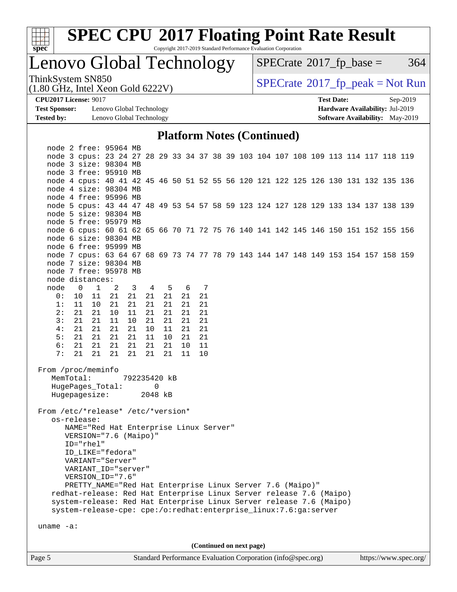

# **[SPEC CPU](http://www.spec.org/auto/cpu2017/Docs/result-fields.html#SPECCPU2017FloatingPointRateResult)[2017 Floating Point Rate Result](http://www.spec.org/auto/cpu2017/Docs/result-fields.html#SPECCPU2017FloatingPointRateResult)**

Copyright 2017-2019 Standard Performance Evaluation Corporation

# Lenovo Global Technology

 $SPECTate@2017_fp\_base = 364$ 

(1.80 GHz, Intel Xeon Gold 6222V)

ThinkSystem SN850<br>(1.80 GHz, Intel Xeon Gold 6222V) [SPECrate](http://www.spec.org/auto/cpu2017/Docs/result-fields.html#SPECrate2017fppeak)®[2017\\_fp\\_peak = N](http://www.spec.org/auto/cpu2017/Docs/result-fields.html#SPECrate2017fppeak)ot Run

**[Test Sponsor:](http://www.spec.org/auto/cpu2017/Docs/result-fields.html#TestSponsor)** Lenovo Global Technology **[Hardware Availability:](http://www.spec.org/auto/cpu2017/Docs/result-fields.html#HardwareAvailability)** Jul-2019 **[Tested by:](http://www.spec.org/auto/cpu2017/Docs/result-fields.html#Testedby)** Lenovo Global Technology **[Software Availability:](http://www.spec.org/auto/cpu2017/Docs/result-fields.html#SoftwareAvailability)** May-2019

**[CPU2017 License:](http://www.spec.org/auto/cpu2017/Docs/result-fields.html#CPU2017License)** 9017 **[Test Date:](http://www.spec.org/auto/cpu2017/Docs/result-fields.html#TestDate)** Sep-2019

#### **[Platform Notes \(Continued\)](http://www.spec.org/auto/cpu2017/Docs/result-fields.html#PlatformNotes)**

| node 2 free: 95964 MB                                                                                                                                                                                                                                                                                                                                    |                                                                                                      |       |    |                         |     |       |  |     |    |  |  |  |  |  |  |  |
|----------------------------------------------------------------------------------------------------------------------------------------------------------------------------------------------------------------------------------------------------------------------------------------------------------------------------------------------------------|------------------------------------------------------------------------------------------------------|-------|----|-------------------------|-----|-------|--|-----|----|--|--|--|--|--|--|--|
| node 3 cpus: 23 24 27 28 29 33 34 37 38 39 103 104 107 108 109 113 114 117 118 119                                                                                                                                                                                                                                                                       |                                                                                                      |       |    |                         |     |       |  |     |    |  |  |  |  |  |  |  |
| node 3 size: 98304 MB                                                                                                                                                                                                                                                                                                                                    |                                                                                                      |       |    |                         |     |       |  |     |    |  |  |  |  |  |  |  |
| node 3 free: 95910 MB                                                                                                                                                                                                                                                                                                                                    |                                                                                                      |       |    |                         |     |       |  |     |    |  |  |  |  |  |  |  |
| node 4 cpus: 40 41 42 45 46 50 51 52 55 56 120 121 122 125 126 130 131 132 135 136                                                                                                                                                                                                                                                                       |                                                                                                      |       |    |                         |     |       |  |     |    |  |  |  |  |  |  |  |
| node 4 size: 98304 MB                                                                                                                                                                                                                                                                                                                                    |                                                                                                      |       |    |                         |     |       |  |     |    |  |  |  |  |  |  |  |
| node 4 free: 95996 MB                                                                                                                                                                                                                                                                                                                                    |                                                                                                      |       |    |                         |     |       |  |     |    |  |  |  |  |  |  |  |
| node 5 cpus: 43 44 47 48 49 53 54 57 58 59 123 124 127 128 129 133 134 137 138 139<br>node 5 size: 98304 MB                                                                                                                                                                                                                                              |                                                                                                      |       |    |                         |     |       |  |     |    |  |  |  |  |  |  |  |
| node 5 free: 95979 MB                                                                                                                                                                                                                                                                                                                                    |                                                                                                      |       |    |                         |     |       |  |     |    |  |  |  |  |  |  |  |
| node 6 cpus: 60 61 62 65 66 70 71 72 75 76 140 141 142 145 146 150 151 152 155 156                                                                                                                                                                                                                                                                       |                                                                                                      |       |    |                         |     |       |  |     |    |  |  |  |  |  |  |  |
| node 6 size: 98304 MB                                                                                                                                                                                                                                                                                                                                    |                                                                                                      |       |    |                         |     |       |  |     |    |  |  |  |  |  |  |  |
| node 6 free: 95999 MB                                                                                                                                                                                                                                                                                                                                    |                                                                                                      |       |    |                         |     |       |  |     |    |  |  |  |  |  |  |  |
| node 7 cpus: 63 64 67 68 69 73 74 77 78 79 143 144 147 148 149 153 154 157 158 159                                                                                                                                                                                                                                                                       |                                                                                                      |       |    |                         |     |       |  |     |    |  |  |  |  |  |  |  |
| node 7 size: 98304 MB                                                                                                                                                                                                                                                                                                                                    |                                                                                                      |       |    |                         |     |       |  |     |    |  |  |  |  |  |  |  |
| node 7 free: 95978 MB                                                                                                                                                                                                                                                                                                                                    |                                                                                                      |       |    |                         |     |       |  |     |    |  |  |  |  |  |  |  |
| node distances:                                                                                                                                                                                                                                                                                                                                          |                                                                                                      |       |    |                         |     |       |  |     |    |  |  |  |  |  |  |  |
| node 0 1 2                                                                                                                                                                                                                                                                                                                                               |                                                                                                      |       |    | $\overline{\mathbf{3}}$ | 4 5 |       |  | 6 7 |    |  |  |  |  |  |  |  |
| 0:                                                                                                                                                                                                                                                                                                                                                       | 10                                                                                                   | 11    | 21 | 21                      |     | 21 21 |  | 21  | 21 |  |  |  |  |  |  |  |
| 1:                                                                                                                                                                                                                                                                                                                                                       | 11                                                                                                   | 10    | 21 | 21                      | 21  | 21    |  | 21  | 21 |  |  |  |  |  |  |  |
| 2:                                                                                                                                                                                                                                                                                                                                                       |                                                                                                      | 21 21 | 10 | 11                      | 21  | 21    |  | 21  | 21 |  |  |  |  |  |  |  |
| 3:                                                                                                                                                                                                                                                                                                                                                       | 21                                                                                                   | 21    | 11 | 10 <sup>°</sup>         | 21  | - 21  |  | 21  | 21 |  |  |  |  |  |  |  |
| 4:                                                                                                                                                                                                                                                                                                                                                       |                                                                                                      | 21 21 | 21 | 21                      | 10  | 11    |  | 21  | 21 |  |  |  |  |  |  |  |
| 5:                                                                                                                                                                                                                                                                                                                                                       |                                                                                                      | 21 21 | 21 | 21                      | 11  | 10    |  | 21  | 21 |  |  |  |  |  |  |  |
| 6:                                                                                                                                                                                                                                                                                                                                                       |                                                                                                      | 21 21 | 21 | 21                      | 21  | 21    |  | 10  | 11 |  |  |  |  |  |  |  |
| 7:                                                                                                                                                                                                                                                                                                                                                       | 21                                                                                                   | 21    | 21 | 21                      |     | 21 21 |  | 11  | 10 |  |  |  |  |  |  |  |
|                                                                                                                                                                                                                                                                                                                                                          | From /proc/meminfo<br>MemTotal:<br>792235420 kB<br>HugePages_Total:<br>0<br>Hugepagesize:<br>2048 kB |       |    |                         |     |       |  |     |    |  |  |  |  |  |  |  |
| From /etc/*release* /etc/*version*<br>os-release:<br>NAME="Red Hat Enterprise Linux Server"<br>VERSION="7.6 (Maipo)"<br>ID="rhel"<br>ID LIKE="fedora"<br>VARIANT="Server"<br>VARIANT_ID="server"<br>VERSION ID="7.6"<br>PRETTY_NAME="Red Hat Enterprise Linux Server 7.6 (Maipo)"<br>redhat-release: Red Hat Enterprise Linux Server release 7.6 (Maipo) |                                                                                                      |       |    |                         |     |       |  |     |    |  |  |  |  |  |  |  |
|                                                                                                                                                                                                                                                                                                                                                          | system-release: Red Hat Enterprise Linux Server release 7.6 (Maipo)                                  |       |    |                         |     |       |  |     |    |  |  |  |  |  |  |  |
| system-release-cpe: cpe:/o:redhat:enterprise_linux:7.6:ga:server                                                                                                                                                                                                                                                                                         |                                                                                                      |       |    |                         |     |       |  |     |    |  |  |  |  |  |  |  |
| uname $-a$ :                                                                                                                                                                                                                                                                                                                                             |                                                                                                      |       |    |                         |     |       |  |     |    |  |  |  |  |  |  |  |
|                                                                                                                                                                                                                                                                                                                                                          | (Continued on next page)                                                                             |       |    |                         |     |       |  |     |    |  |  |  |  |  |  |  |
|                                                                                                                                                                                                                                                                                                                                                          |                                                                                                      |       |    |                         |     |       |  |     |    |  |  |  |  |  |  |  |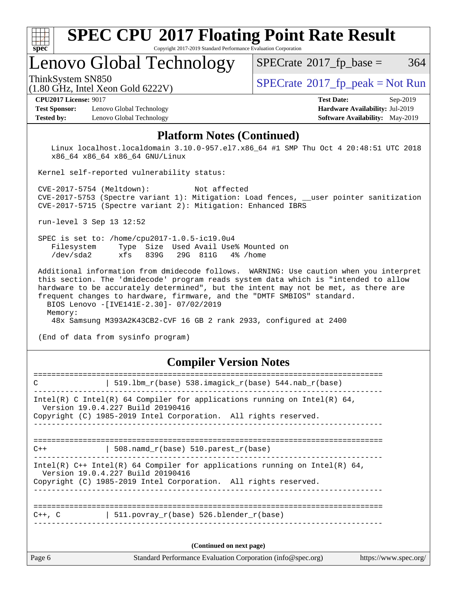| s<br>De<br>L. |  |  |  |  |  |  |  |
|---------------|--|--|--|--|--|--|--|

Lenovo Global Technology

 $SPECTate$ <sup>®</sup>[2017\\_fp\\_base =](http://www.spec.org/auto/cpu2017/Docs/result-fields.html#SPECrate2017fpbase) 364

(1.80 GHz, Intel Xeon Gold 6222V)

ThinkSystem SN850<br>(1.80 GHz, Intel Year Gold 6222V) [SPECrate](http://www.spec.org/auto/cpu2017/Docs/result-fields.html#SPECrate2017fppeak)®[2017\\_fp\\_peak = N](http://www.spec.org/auto/cpu2017/Docs/result-fields.html#SPECrate2017fppeak)ot Run

**[Test Sponsor:](http://www.spec.org/auto/cpu2017/Docs/result-fields.html#TestSponsor)** Lenovo Global Technology **[Hardware Availability:](http://www.spec.org/auto/cpu2017/Docs/result-fields.html#HardwareAvailability)** Jul-2019 **[Tested by:](http://www.spec.org/auto/cpu2017/Docs/result-fields.html#Testedby)** Lenovo Global Technology **[Software Availability:](http://www.spec.org/auto/cpu2017/Docs/result-fields.html#SoftwareAvailability)** May-2019

**[CPU2017 License:](http://www.spec.org/auto/cpu2017/Docs/result-fields.html#CPU2017License)** 9017 **[Test Date:](http://www.spec.org/auto/cpu2017/Docs/result-fields.html#TestDate)** Sep-2019

#### **[Platform Notes \(Continued\)](http://www.spec.org/auto/cpu2017/Docs/result-fields.html#PlatformNotes)**

 Linux localhost.localdomain 3.10.0-957.el7.x86\_64 #1 SMP Thu Oct 4 20:48:51 UTC 2018 x86\_64 x86\_64 x86\_64 GNU/Linux

Kernel self-reported vulnerability status:

 CVE-2017-5754 (Meltdown): Not affected CVE-2017-5753 (Spectre variant 1): Mitigation: Load fences, \_\_user pointer sanitization CVE-2017-5715 (Spectre variant 2): Mitigation: Enhanced IBRS

run-level 3 Sep 13 12:52

 SPEC is set to: /home/cpu2017-1.0.5-ic19.0u4 Filesystem Type Size Used Avail Use% Mounted on /dev/sda2 xfs 839G 29G 811G 4% /home

 Additional information from dmidecode follows. WARNING: Use caution when you interpret this section. The 'dmidecode' program reads system data which is "intended to allow hardware to be accurately determined", but the intent may not be met, as there are frequent changes to hardware, firmware, and the "DMTF SMBIOS" standard. BIOS Lenovo -[IVE141E-2.30]- 07/02/2019 Memory:

48x Samsung M393A2K43CB2-CVF 16 GB 2 rank 2933, configured at 2400

(End of data from sysinfo program)

#### **[Compiler Version Notes](http://www.spec.org/auto/cpu2017/Docs/result-fields.html#CompilerVersionNotes)**

| Page 6      | Standard Performance Evaluation Corporation (info@spec.org)                                                                                                                          | https://www.spec.org/ |
|-------------|--------------------------------------------------------------------------------------------------------------------------------------------------------------------------------------|-----------------------|
|             | (Continued on next page)                                                                                                                                                             |                       |
| $C++$ , $C$ | 511.povray_r(base) 526.blender_r(base)                                                                                                                                               |                       |
|             | Intel(R) $C++$ Intel(R) 64 Compiler for applications running on Intel(R) 64,<br>Version 19.0.4.227 Build 20190416<br>Copyright (C) 1985-2019 Intel Corporation. All rights reserved. |                       |
| $C++$       | 508. namd $r(base)$ 510. parest $r(base)$                                                                                                                                            |                       |
|             | Intel(R) C Intel(R) 64 Compiler for applications running on Intel(R) 64,<br>Version 19.0.4.227 Build 20190416<br>Copyright (C) 1985-2019 Intel Corporation. All rights reserved.     |                       |
|             |                                                                                                                                                                                      |                       |
| C           | 519.1bm_r(base) 538.imagick_r(base) 544.nab_r(base)                                                                                                                                  |                       |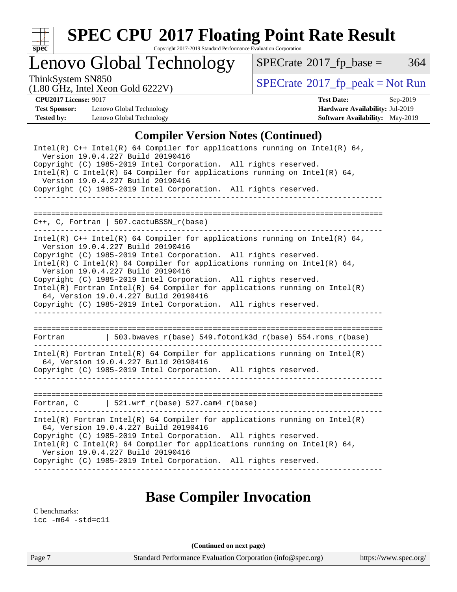

Lenovo Global Technology

 $SPECTate$ <sup>®</sup>[2017\\_fp\\_base =](http://www.spec.org/auto/cpu2017/Docs/result-fields.html#SPECrate2017fpbase) 364

(1.80 GHz, Intel Xeon Gold 6222V)

ThinkSystem SN850<br>(1.80 CHz, Intel Year Gald 6222V) [SPECrate](http://www.spec.org/auto/cpu2017/Docs/result-fields.html#SPECrate2017fppeak)®[2017\\_fp\\_peak = N](http://www.spec.org/auto/cpu2017/Docs/result-fields.html#SPECrate2017fppeak)ot Run

**[Test Sponsor:](http://www.spec.org/auto/cpu2017/Docs/result-fields.html#TestSponsor)** Lenovo Global Technology **[Hardware Availability:](http://www.spec.org/auto/cpu2017/Docs/result-fields.html#HardwareAvailability)** Jul-2019 **[Tested by:](http://www.spec.org/auto/cpu2017/Docs/result-fields.html#Testedby)** Lenovo Global Technology **[Software Availability:](http://www.spec.org/auto/cpu2017/Docs/result-fields.html#SoftwareAvailability)** May-2019

**[CPU2017 License:](http://www.spec.org/auto/cpu2017/Docs/result-fields.html#CPU2017License)** 9017 **[Test Date:](http://www.spec.org/auto/cpu2017/Docs/result-fields.html#TestDate)** Sep-2019

#### **[Compiler Version Notes \(Continued\)](http://www.spec.org/auto/cpu2017/Docs/result-fields.html#CompilerVersionNotes)**

Intel(R) C++ Intel(R) 64 Compiler for applications running on Intel(R)  $64$ , Version 19.0.4.227 Build 20190416 Copyright (C) 1985-2019 Intel Corporation. All rights reserved. Intel(R) C Intel(R) 64 Compiler for applications running on Intel(R) 64, Version 19.0.4.227 Build 20190416 Copyright (C) 1985-2019 Intel Corporation. All rights reserved. ------------------------------------------------------------------------------ ============================================================================== C++, C, Fortran | 507.cactuBSSN\_r(base) ------------------------------------------------------------------------------ Intel(R) C++ Intel(R) 64 Compiler for applications running on Intel(R) 64, Version 19.0.4.227 Build 20190416 Copyright (C) 1985-2019 Intel Corporation. All rights reserved. Intel(R) C Intel(R) 64 Compiler for applications running on Intel(R)  $64$ , Version 19.0.4.227 Build 20190416 Copyright (C) 1985-2019 Intel Corporation. All rights reserved. Intel(R) Fortran Intel(R) 64 Compiler for applications running on Intel(R) 64, Version 19.0.4.227 Build 20190416 Copyright (C) 1985-2019 Intel Corporation. All rights reserved. ------------------------------------------------------------------------------ ============================================================================== Fortran | 503.bwaves\_r(base) 549.fotonik3d\_r(base) 554.roms\_r(base) ------------------------------------------------------------------------------ Intel(R) Fortran Intel(R) 64 Compiler for applications running on Intel(R) 64, Version 19.0.4.227 Build 20190416 Copyright (C) 1985-2019 Intel Corporation. All rights reserved. ------------------------------------------------------------------------------ ============================================================================== Fortran,  $C$  | 521.wrf\_r(base) 527.cam4\_r(base) ------------------------------------------------------------------------------ Intel(R) Fortran Intel(R) 64 Compiler for applications running on Intel(R) 64, Version 19.0.4.227 Build 20190416 Copyright (C) 1985-2019 Intel Corporation. All rights reserved. Intel(R) C Intel(R) 64 Compiler for applications running on Intel(R)  $64$ , Version 19.0.4.227 Build 20190416 Copyright (C) 1985-2019 Intel Corporation. All rights reserved. ------------------------------------------------------------------------------

### **[Base Compiler Invocation](http://www.spec.org/auto/cpu2017/Docs/result-fields.html#BaseCompilerInvocation)**

[C benchmarks](http://www.spec.org/auto/cpu2017/Docs/result-fields.html#Cbenchmarks):

[icc -m64 -std=c11](http://www.spec.org/cpu2017/results/res2019q4/cpu2017-20190917-18307.flags.html#user_CCbase_intel_icc_64bit_c11_33ee0cdaae7deeeab2a9725423ba97205ce30f63b9926c2519791662299b76a0318f32ddfffdc46587804de3178b4f9328c46fa7c2b0cd779d7a61945c91cd35)

**(Continued on next page)**

Page 7 Standard Performance Evaluation Corporation [\(info@spec.org\)](mailto:info@spec.org) <https://www.spec.org/>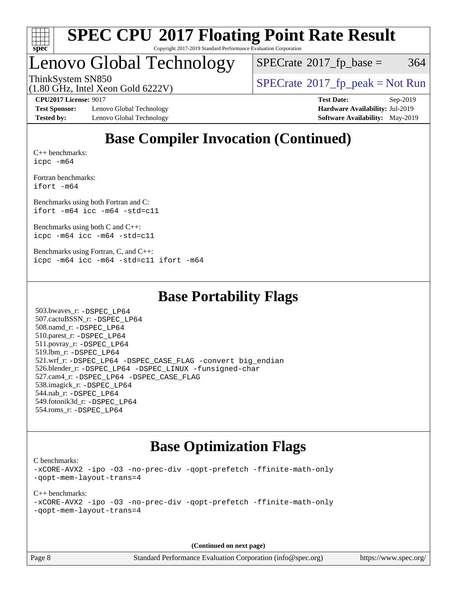

## Lenovo Global Technology

 $SPECTate$ <sup>®</sup>[2017\\_fp\\_base =](http://www.spec.org/auto/cpu2017/Docs/result-fields.html#SPECrate2017fpbase) 364

ThinkSystem SN850<br>(1.80 GHz, Intel Year Gold 6222V) [SPECrate](http://www.spec.org/auto/cpu2017/Docs/result-fields.html#SPECrate2017fppeak)®[2017\\_fp\\_peak = N](http://www.spec.org/auto/cpu2017/Docs/result-fields.html#SPECrate2017fppeak)ot Run

(1.80 GHz, Intel Xeon Gold 6222V)

**[Test Sponsor:](http://www.spec.org/auto/cpu2017/Docs/result-fields.html#TestSponsor)** Lenovo Global Technology **[Hardware Availability:](http://www.spec.org/auto/cpu2017/Docs/result-fields.html#HardwareAvailability)** Jul-2019 **[Tested by:](http://www.spec.org/auto/cpu2017/Docs/result-fields.html#Testedby)** Lenovo Global Technology **[Software Availability:](http://www.spec.org/auto/cpu2017/Docs/result-fields.html#SoftwareAvailability)** May-2019

**[CPU2017 License:](http://www.spec.org/auto/cpu2017/Docs/result-fields.html#CPU2017License)** 9017 **[Test Date:](http://www.spec.org/auto/cpu2017/Docs/result-fields.html#TestDate)** Sep-2019

### **[Base Compiler Invocation \(Continued\)](http://www.spec.org/auto/cpu2017/Docs/result-fields.html#BaseCompilerInvocation)**

[C++ benchmarks:](http://www.spec.org/auto/cpu2017/Docs/result-fields.html#CXXbenchmarks) [icpc -m64](http://www.spec.org/cpu2017/results/res2019q4/cpu2017-20190917-18307.flags.html#user_CXXbase_intel_icpc_64bit_4ecb2543ae3f1412ef961e0650ca070fec7b7afdcd6ed48761b84423119d1bf6bdf5cad15b44d48e7256388bc77273b966e5eb805aefd121eb22e9299b2ec9d9)

[Fortran benchmarks](http://www.spec.org/auto/cpu2017/Docs/result-fields.html#Fortranbenchmarks): [ifort -m64](http://www.spec.org/cpu2017/results/res2019q4/cpu2017-20190917-18307.flags.html#user_FCbase_intel_ifort_64bit_24f2bb282fbaeffd6157abe4f878425411749daecae9a33200eee2bee2fe76f3b89351d69a8130dd5949958ce389cf37ff59a95e7a40d588e8d3a57e0c3fd751)

[Benchmarks using both Fortran and C](http://www.spec.org/auto/cpu2017/Docs/result-fields.html#BenchmarksusingbothFortranandC): [ifort -m64](http://www.spec.org/cpu2017/results/res2019q4/cpu2017-20190917-18307.flags.html#user_CC_FCbase_intel_ifort_64bit_24f2bb282fbaeffd6157abe4f878425411749daecae9a33200eee2bee2fe76f3b89351d69a8130dd5949958ce389cf37ff59a95e7a40d588e8d3a57e0c3fd751) [icc -m64 -std=c11](http://www.spec.org/cpu2017/results/res2019q4/cpu2017-20190917-18307.flags.html#user_CC_FCbase_intel_icc_64bit_c11_33ee0cdaae7deeeab2a9725423ba97205ce30f63b9926c2519791662299b76a0318f32ddfffdc46587804de3178b4f9328c46fa7c2b0cd779d7a61945c91cd35)

[Benchmarks using both C and C++](http://www.spec.org/auto/cpu2017/Docs/result-fields.html#BenchmarksusingbothCandCXX): [icpc -m64](http://www.spec.org/cpu2017/results/res2019q4/cpu2017-20190917-18307.flags.html#user_CC_CXXbase_intel_icpc_64bit_4ecb2543ae3f1412ef961e0650ca070fec7b7afdcd6ed48761b84423119d1bf6bdf5cad15b44d48e7256388bc77273b966e5eb805aefd121eb22e9299b2ec9d9) [icc -m64 -std=c11](http://www.spec.org/cpu2017/results/res2019q4/cpu2017-20190917-18307.flags.html#user_CC_CXXbase_intel_icc_64bit_c11_33ee0cdaae7deeeab2a9725423ba97205ce30f63b9926c2519791662299b76a0318f32ddfffdc46587804de3178b4f9328c46fa7c2b0cd779d7a61945c91cd35)

[Benchmarks using Fortran, C, and C++:](http://www.spec.org/auto/cpu2017/Docs/result-fields.html#BenchmarksusingFortranCandCXX) [icpc -m64](http://www.spec.org/cpu2017/results/res2019q4/cpu2017-20190917-18307.flags.html#user_CC_CXX_FCbase_intel_icpc_64bit_4ecb2543ae3f1412ef961e0650ca070fec7b7afdcd6ed48761b84423119d1bf6bdf5cad15b44d48e7256388bc77273b966e5eb805aefd121eb22e9299b2ec9d9) [icc -m64 -std=c11](http://www.spec.org/cpu2017/results/res2019q4/cpu2017-20190917-18307.flags.html#user_CC_CXX_FCbase_intel_icc_64bit_c11_33ee0cdaae7deeeab2a9725423ba97205ce30f63b9926c2519791662299b76a0318f32ddfffdc46587804de3178b4f9328c46fa7c2b0cd779d7a61945c91cd35) [ifort -m64](http://www.spec.org/cpu2017/results/res2019q4/cpu2017-20190917-18307.flags.html#user_CC_CXX_FCbase_intel_ifort_64bit_24f2bb282fbaeffd6157abe4f878425411749daecae9a33200eee2bee2fe76f3b89351d69a8130dd5949958ce389cf37ff59a95e7a40d588e8d3a57e0c3fd751)

### **[Base Portability Flags](http://www.spec.org/auto/cpu2017/Docs/result-fields.html#BasePortabilityFlags)**

 503.bwaves\_r: [-DSPEC\\_LP64](http://www.spec.org/cpu2017/results/res2019q4/cpu2017-20190917-18307.flags.html#suite_basePORTABILITY503_bwaves_r_DSPEC_LP64) 507.cactuBSSN\_r: [-DSPEC\\_LP64](http://www.spec.org/cpu2017/results/res2019q4/cpu2017-20190917-18307.flags.html#suite_basePORTABILITY507_cactuBSSN_r_DSPEC_LP64) 508.namd\_r: [-DSPEC\\_LP64](http://www.spec.org/cpu2017/results/res2019q4/cpu2017-20190917-18307.flags.html#suite_basePORTABILITY508_namd_r_DSPEC_LP64) 510.parest\_r: [-DSPEC\\_LP64](http://www.spec.org/cpu2017/results/res2019q4/cpu2017-20190917-18307.flags.html#suite_basePORTABILITY510_parest_r_DSPEC_LP64) 511.povray\_r: [-DSPEC\\_LP64](http://www.spec.org/cpu2017/results/res2019q4/cpu2017-20190917-18307.flags.html#suite_basePORTABILITY511_povray_r_DSPEC_LP64) 519.lbm\_r: [-DSPEC\\_LP64](http://www.spec.org/cpu2017/results/res2019q4/cpu2017-20190917-18307.flags.html#suite_basePORTABILITY519_lbm_r_DSPEC_LP64) 521.wrf\_r: [-DSPEC\\_LP64](http://www.spec.org/cpu2017/results/res2019q4/cpu2017-20190917-18307.flags.html#suite_basePORTABILITY521_wrf_r_DSPEC_LP64) [-DSPEC\\_CASE\\_FLAG](http://www.spec.org/cpu2017/results/res2019q4/cpu2017-20190917-18307.flags.html#b521.wrf_r_baseCPORTABILITY_DSPEC_CASE_FLAG) [-convert big\\_endian](http://www.spec.org/cpu2017/results/res2019q4/cpu2017-20190917-18307.flags.html#user_baseFPORTABILITY521_wrf_r_convert_big_endian_c3194028bc08c63ac5d04de18c48ce6d347e4e562e8892b8bdbdc0214820426deb8554edfa529a3fb25a586e65a3d812c835984020483e7e73212c4d31a38223) 526.blender\_r: [-DSPEC\\_LP64](http://www.spec.org/cpu2017/results/res2019q4/cpu2017-20190917-18307.flags.html#suite_basePORTABILITY526_blender_r_DSPEC_LP64) [-DSPEC\\_LINUX](http://www.spec.org/cpu2017/results/res2019q4/cpu2017-20190917-18307.flags.html#b526.blender_r_baseCPORTABILITY_DSPEC_LINUX) [-funsigned-char](http://www.spec.org/cpu2017/results/res2019q4/cpu2017-20190917-18307.flags.html#user_baseCPORTABILITY526_blender_r_force_uchar_40c60f00ab013830e2dd6774aeded3ff59883ba5a1fc5fc14077f794d777847726e2a5858cbc7672e36e1b067e7e5c1d9a74f7176df07886a243d7cc18edfe67) 527.cam4\_r: [-DSPEC\\_LP64](http://www.spec.org/cpu2017/results/res2019q4/cpu2017-20190917-18307.flags.html#suite_basePORTABILITY527_cam4_r_DSPEC_LP64) [-DSPEC\\_CASE\\_FLAG](http://www.spec.org/cpu2017/results/res2019q4/cpu2017-20190917-18307.flags.html#b527.cam4_r_baseCPORTABILITY_DSPEC_CASE_FLAG) 538.imagick\_r: [-DSPEC\\_LP64](http://www.spec.org/cpu2017/results/res2019q4/cpu2017-20190917-18307.flags.html#suite_basePORTABILITY538_imagick_r_DSPEC_LP64) 544.nab\_r: [-DSPEC\\_LP64](http://www.spec.org/cpu2017/results/res2019q4/cpu2017-20190917-18307.flags.html#suite_basePORTABILITY544_nab_r_DSPEC_LP64) 549.fotonik3d\_r: [-DSPEC\\_LP64](http://www.spec.org/cpu2017/results/res2019q4/cpu2017-20190917-18307.flags.html#suite_basePORTABILITY549_fotonik3d_r_DSPEC_LP64) 554.roms\_r: [-DSPEC\\_LP64](http://www.spec.org/cpu2017/results/res2019q4/cpu2017-20190917-18307.flags.html#suite_basePORTABILITY554_roms_r_DSPEC_LP64)

### **[Base Optimization Flags](http://www.spec.org/auto/cpu2017/Docs/result-fields.html#BaseOptimizationFlags)**

[C benchmarks](http://www.spec.org/auto/cpu2017/Docs/result-fields.html#Cbenchmarks):

[-xCORE-AVX2](http://www.spec.org/cpu2017/results/res2019q4/cpu2017-20190917-18307.flags.html#user_CCbase_f-xCORE-AVX2) [-ipo](http://www.spec.org/cpu2017/results/res2019q4/cpu2017-20190917-18307.flags.html#user_CCbase_f-ipo) [-O3](http://www.spec.org/cpu2017/results/res2019q4/cpu2017-20190917-18307.flags.html#user_CCbase_f-O3) [-no-prec-div](http://www.spec.org/cpu2017/results/res2019q4/cpu2017-20190917-18307.flags.html#user_CCbase_f-no-prec-div) [-qopt-prefetch](http://www.spec.org/cpu2017/results/res2019q4/cpu2017-20190917-18307.flags.html#user_CCbase_f-qopt-prefetch) [-ffinite-math-only](http://www.spec.org/cpu2017/results/res2019q4/cpu2017-20190917-18307.flags.html#user_CCbase_f_finite_math_only_cb91587bd2077682c4b38af759c288ed7c732db004271a9512da14a4f8007909a5f1427ecbf1a0fb78ff2a814402c6114ac565ca162485bbcae155b5e4258871) [-qopt-mem-layout-trans=4](http://www.spec.org/cpu2017/results/res2019q4/cpu2017-20190917-18307.flags.html#user_CCbase_f-qopt-mem-layout-trans_fa39e755916c150a61361b7846f310bcdf6f04e385ef281cadf3647acec3f0ae266d1a1d22d972a7087a248fd4e6ca390a3634700869573d231a252c784941a8)

[C++ benchmarks:](http://www.spec.org/auto/cpu2017/Docs/result-fields.html#CXXbenchmarks) [-xCORE-AVX2](http://www.spec.org/cpu2017/results/res2019q4/cpu2017-20190917-18307.flags.html#user_CXXbase_f-xCORE-AVX2) [-ipo](http://www.spec.org/cpu2017/results/res2019q4/cpu2017-20190917-18307.flags.html#user_CXXbase_f-ipo) [-O3](http://www.spec.org/cpu2017/results/res2019q4/cpu2017-20190917-18307.flags.html#user_CXXbase_f-O3) [-no-prec-div](http://www.spec.org/cpu2017/results/res2019q4/cpu2017-20190917-18307.flags.html#user_CXXbase_f-no-prec-div) [-qopt-prefetch](http://www.spec.org/cpu2017/results/res2019q4/cpu2017-20190917-18307.flags.html#user_CXXbase_f-qopt-prefetch) [-ffinite-math-only](http://www.spec.org/cpu2017/results/res2019q4/cpu2017-20190917-18307.flags.html#user_CXXbase_f_finite_math_only_cb91587bd2077682c4b38af759c288ed7c732db004271a9512da14a4f8007909a5f1427ecbf1a0fb78ff2a814402c6114ac565ca162485bbcae155b5e4258871) [-qopt-mem-layout-trans=4](http://www.spec.org/cpu2017/results/res2019q4/cpu2017-20190917-18307.flags.html#user_CXXbase_f-qopt-mem-layout-trans_fa39e755916c150a61361b7846f310bcdf6f04e385ef281cadf3647acec3f0ae266d1a1d22d972a7087a248fd4e6ca390a3634700869573d231a252c784941a8)

**(Continued on next page)**

Page 8 Standard Performance Evaluation Corporation [\(info@spec.org\)](mailto:info@spec.org) <https://www.spec.org/>